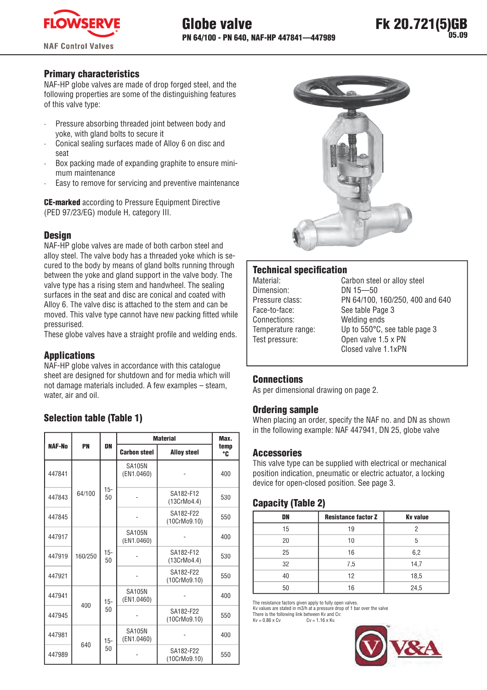

# **Primary characteristics**

NAF-HP globe valves are made of drop forged steel, and the following properties are some of the distinguishing features of this valve type:

- Pressure absorbing threaded joint between body and voke, with gland bolts to secure it
- Conical sealing surfaces made of Alloy 6 on disc and seat
- Box packing made of expanding graphite to ensure minimum maintenance
- Easy to remove for servicing and preventive maintenance

**CE-marked** according to Pressure Equipment Directive (PED 97/23/EG) module H. category III.

### **Desian**

NAF-HP globe valves are made of both carbon steel and alloy steel. The valve body has a threaded yoke which is secured to the body by means of gland bolts running through between the yoke and gland support in the valve body. The valve type has a rising stem and handwheel. The sealing surfaces in the seat and disc are conical and coated with Alloy 6. The valve disc is attached to the stem and can be moved. This valve type cannot have new packing fitted while pressurised.

These globe valves have a straight profile and welding ends.

# **Applications**

NAF-HP globe valves in accordance with this catalogue sheet are designed for shutdown and for media which will not damage materials included. A few examples - steam, water, air and oil.

# **Selection table (Table 1)**

|        |         |                                                 |                             | <b>Material</b>           | Max.<br>temp |  |  |
|--------|---------|-------------------------------------------------|-----------------------------|---------------------------|--------------|--|--|
| NAF-No | PN      | DN<br><b>Carbon steel</b><br><b>Alloy steel</b> |                             |                           |              |  |  |
| 447841 |         |                                                 | <b>SA105N</b><br>(EN1.0460) |                           | 400          |  |  |
| 447843 | 64/100  | $15 -$<br>50                                    |                             | SA182-F12<br>(13CrMo4.4)  | 530          |  |  |
| 447845 |         |                                                 |                             | SA182-F22<br>(10CrMo9.10) | 550          |  |  |
| 447917 |         |                                                 | <b>SA105N</b><br>(EN1.0460) |                           | 400          |  |  |
| 447919 | 160/250 | $15 -$<br>50                                    |                             | SA182-F12<br>(13CrMo4.4)  | 530          |  |  |
| 447921 |         |                                                 |                             | SA182-F22<br>(10CrMo9.10) | 550          |  |  |
| 447941 | 400     | $15 -$                                          | <b>SA105N</b><br>(EN1.0460) |                           | 400          |  |  |
| 447945 |         | 50                                              |                             | SA182-F22<br>(10CrMo9.10) | 550          |  |  |
| 447981 | 640     | $15 -$                                          | <b>SA105N</b><br>(EN1.0460) |                           | 400          |  |  |
| 447989 |         | 50                                              |                             | SA182-F22<br>(10CrMo9.10) | 550          |  |  |



### **Technical specification**

| Material:          |
|--------------------|
| Dimension:         |
| Pressure class:    |
| Face-to-face:      |
| Connections:       |
| Temperature range: |
| Test pressure:     |
|                    |

Carbon steel or alloy steel DN 15-50 PN 64/100, 160/250, 400 and 640 See table Page 3 Welding ends Up to 550°C, see table page 3 Open valve 1.5 x PN Closed valve 1.1xPN

### **Connections**

As per dimensional drawing on page 2.

### **Ordering sample**

When placing an order, specify the NAF no. and DN as shown in the following example: NAF 447941, DN 25, globe valve

### **Accessories**

This valve type can be supplied with electrical or mechanical position indication, pneumatic or electric actuator, a locking device for open-closed position. See page 3.

# **Capacity (Table 2)**

| DN | <b>Resistance factor Z</b> | <b>Ky value</b> |
|----|----------------------------|-----------------|
| 15 | 19                         |                 |
| 20 | 10                         | 5               |
| 25 | 16                         | 6,2             |
| 32 | 7,5                        | 14,7            |
| 40 | 12                         | 18,5            |
| 50 | 16                         | 24,5            |

The resistance factors given apply to fully open valves

Ky values are stated in m3/h at a pressure drop of 1 bar over the valve<br>There is the following link between Ky and Cy:

 $Kv = 0.86 \times Cv$  $Cv = 1.16 \times Kv$ 

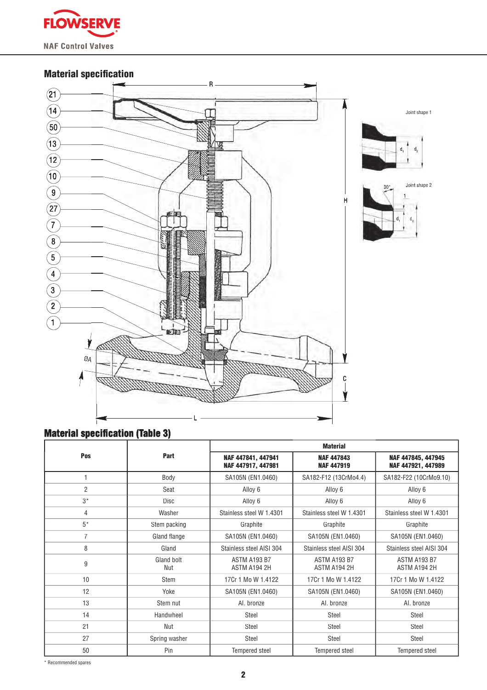

# **Material specification**



# **Material specification (Table 3)**

|                |                   | <b>Material</b>                          |                                        |                                          |  |  |  |  |  |
|----------------|-------------------|------------------------------------------|----------------------------------------|------------------------------------------|--|--|--|--|--|
| Pos            | Part              | NAF 447841, 447941<br>NAF 447917, 447981 | <b>NAF 447843</b><br><b>NAF 447919</b> | NAF 447845, 447945<br>NAF 447921, 447989 |  |  |  |  |  |
|                | Body              | SA105N (EN1.0460)                        | SA182-F12 (13CrMo4.4)                  | SA182-F22 (10CrMo9.10)                   |  |  |  |  |  |
| $\overline{2}$ | Seat              | Alloy 6                                  | Alloy 6                                | Alloy 6                                  |  |  |  |  |  |
| $3*$           | <b>Disc</b>       | Alloy 6                                  | Alloy 6                                | Alloy 6                                  |  |  |  |  |  |
| 4              | Washer            | Stainless steel W 1.4301                 | Stainless steel W 1.4301               | Stainless steel W 1.4301                 |  |  |  |  |  |
| $5*$           | Stem packing      | Graphite                                 | Graphite                               | Graphite                                 |  |  |  |  |  |
| $\overline{7}$ | Gland flange      | SA105N (EN1.0460)                        | SA105N (EN1.0460)                      | SA105N (EN1.0460)                        |  |  |  |  |  |
| 8              | Gland             | Stainless steel AISI 304                 | Stainless steel AISI 304               | Stainless steel AISI 304                 |  |  |  |  |  |
| 9              | Gland bolt<br>Nut | ASTM A193 B7<br>ASTM A194 2H             | <b>ASTM A193 B7</b><br>ASTM A194 2H    | ASTM A193 B7<br>ASTM A194 2H             |  |  |  |  |  |
| 10             | Stem              | 17Cr 1 Mo W 1.4122                       | 17Cr 1 Mo W 1.4122                     | 17Cr 1 Mo W 1.4122                       |  |  |  |  |  |
| 12             | Yoke              | SA105N (EN1.0460)                        | SA105N (EN1.0460)                      | SA105N (EN1.0460)                        |  |  |  |  |  |
| 13             | Stem nut          | Al. bronze                               | Al. bronze                             | Al. bronze                               |  |  |  |  |  |
| 14             | Handwheel         | Steel                                    | Steel                                  | Steel                                    |  |  |  |  |  |
| 21             | Nut               | Steel                                    | <b>Steel</b>                           | Steel                                    |  |  |  |  |  |
| 27             | Spring washer     | Steel                                    | Steel                                  | Steel                                    |  |  |  |  |  |
| 50<br>Pin      |                   | Tempered steel                           | <b>Tempered steel</b>                  | Tempered steel                           |  |  |  |  |  |

\* Recommended spares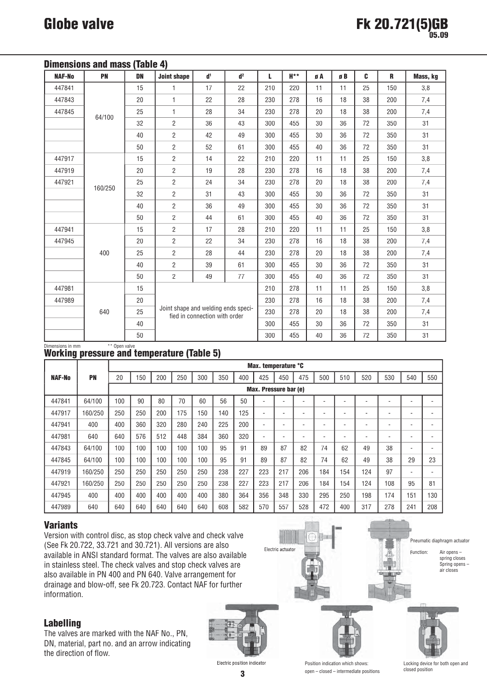| <b>NAF-No</b> | <b>PN</b> | <b>DN</b> | <b>Joint shape</b>                  | d <sup>1</sup>                | d <sup>2</sup> | L   | $H***$ | øA | øB  | C   | R   | Mass, kg |
|---------------|-----------|-----------|-------------------------------------|-------------------------------|----------------|-----|--------|----|-----|-----|-----|----------|
| 447841        | 15        |           | 1                                   | 17                            | 22             | 210 | 220    | 11 | 11  | 25  | 150 | 3,8      |
| 447843        |           | 20        | $\mathbf{1}$                        | 22                            | 28             | 230 | 278    | 16 | 18  | 38  | 200 | 7,4      |
| 447845        |           | 25        | $\mathbf{1}$                        | 28                            | 34             | 230 | 278    | 20 | 18  | 38  | 200 | 7,4      |
|               | 64/100    | 32        | $\overline{2}$                      | 36                            | 43             | 300 | 455    | 30 | 36  | 72  | 350 | 31       |
|               |           | 40        | $\overline{2}$                      | 42                            | 49             | 300 | 455    | 30 | 36  | 72  | 350 | 31       |
|               |           | 50        | $\overline{2}$                      | 52                            | 61             | 300 | 455    | 40 | 36  | 72  | 350 | 31       |
| 447917        |           | 15        | $\overline{2}$                      | 14                            | 22             | 210 | 220    | 11 | 11  | 25  | 150 | 3,8      |
| 447919        |           | 20        | $\overline{c}$                      | 19                            | 28             | 230 | 278    | 16 | 18  | 38  | 200 | 7,4      |
| 447921        |           | 25        | $\overline{2}$                      | 24                            | 34             | 230 | 278    | 20 | 18  | 38  | 200 | 7,4      |
|               | 160/250   | 32        | $\overline{2}$                      | 31                            | 43             | 300 | 455    | 30 | 36  | 72  | 350 | 31       |
|               |           | 40        | $\overline{2}$                      | 36                            | 49             | 300 | 455    | 30 | 36  | 72  | 350 | 31       |
|               |           | 50        | $\overline{2}$                      | 44                            | 61             | 300 | 455    | 40 | 36  | 72  | 350 | 31       |
| 447941        |           | 15        | $\overline{2}$                      | 17                            | 28             | 210 | 220    | 11 | 11  | 25  | 150 | 3,8      |
| 447945        |           | 20        | $\overline{2}$                      | 22                            | 34             | 230 | 278    | 16 | 18  | 38  | 200 | 7,4      |
|               | 400       | 25        | $\overline{2}$                      | 28                            | 44             | 230 | 278    | 20 | 18  | 38  | 200 | 7,4      |
|               |           | 40        | $\overline{c}$                      | 39                            | 61             | 300 | 455    | 30 | 36  | 72  | 350 | 31       |
|               |           | 50        | $\overline{2}$                      | 49                            | 77             | 300 | 455    | 40 | 36  | 72  | 350 | 31       |
| 447981        |           | 15        |                                     | 210                           | 278            | 11  | 11     | 25 | 150 | 3,8 |     |          |
| 447989        |           | 20        |                                     |                               |                | 230 | 278    | 16 | 18  | 38  | 200 | 7,4      |
|               | 640       | 25        | Joint shape and welding ends speci- | fied in connection with order |                | 230 | 278    | 20 | 18  | 38  | 200 | 7,4      |
|               |           | 40        |                                     |                               |                | 300 | 455    | 30 | 36  | 72  | 350 | 31       |
|               |           | 50        |                                     |                               |                | 300 | 455    | 40 | 36  | 72  | 350 | 31       |

# Dimensions in mm<br>Working pressure and temperature (Table 5)

|               |           | Max. temperature °C   |     |     |     |     |     |     |     |                          |                          |     |                          |     |                          |     |     |
|---------------|-----------|-----------------------|-----|-----|-----|-----|-----|-----|-----|--------------------------|--------------------------|-----|--------------------------|-----|--------------------------|-----|-----|
| <b>NAF-No</b> | <b>PN</b> | 20                    | 150 | 200 | 250 | 300 | 350 | 400 | 425 | 450                      | 475                      | 500 | 510                      | 520 | 530                      | 540 | 550 |
|               |           | Max. Pressure bar (e) |     |     |     |     |     |     |     |                          |                          |     |                          |     |                          |     |     |
| 447841        | 64/100    | 100                   | 90  | 80  | 70  | 60  | 56  | 50  |     |                          |                          | ٠   |                          |     |                          |     |     |
| 447917        | 160/250   | 250                   | 250 | 200 | 175 | 150 | 140 | 125 | ۰   |                          |                          | ۰   | $\overline{\phantom{a}}$ | ۰   | -                        | ۰   | ٠   |
| 447941        | 400       | 400                   | 360 | 320 | 280 | 240 | 225 | 200 | -   |                          |                          | ۰   | $\overline{\phantom{a}}$ | ۰   | -                        |     | ۰   |
| 447981        | 640       | 640                   | 576 | 512 | 448 | 384 | 360 | 320 | ۰   | $\overline{\phantom{a}}$ | $\overline{\phantom{a}}$ | ۰   | $\overline{\phantom{a}}$ | ۰   | $\overline{\phantom{a}}$ | ۰   | ۰   |
| 447843        | 64/100    | 100                   | 100 | 100 | 100 | 100 | 95  | 91  | 89  | 87                       | 82                       | 74  | 62                       | 49  | 38                       |     |     |
| 447845        | 64/100    | 100                   | 100 | 100 | 100 | 100 | 95  | 91  | 89  | 87                       | 82                       | 74  | 62                       | 49  | 38                       | 29  | 23  |
| 447919        | 160/250   | 250                   | 250 | 250 | 250 | 250 | 238 | 227 | 223 | 217                      | 206                      | 184 | 154                      | 124 | 97                       | ۰   | ٠   |
| 447921        | 160/250   | 250                   | 250 | 250 | 250 | 250 | 238 | 227 | 223 | 217                      | 206                      | 184 | 154                      | 124 | 108                      | 95  | 81  |
| 447945        | 400       | 400                   | 400 | 400 | 400 | 400 | 380 | 364 | 356 | 348                      | 330                      | 295 | 250                      | 198 | 174                      | 151 | 130 |
| 447989        | 640       | 640                   | 640 | 640 | 640 | 640 | 608 | 582 | 570 | 557                      | 528                      | 472 | 400                      | 317 | 278                      | 241 | 208 |

### **Variants**

Version with control disc, as stop check valve and check valve (See Fk 20.722, 33.721 and 30.721). All versions are also available in ANSI standard format. The valves are also available in stainless steel. The check valves and stop check valves are also available in PN 400 and PN 640. Valve arrangement for drainage and blow-off, see Fk 20.723. Contact NAF for further information.

# **Labelling**

The valves are marked with the NAF No., PN, DN, material, part no. and an arrow indicating the direction of flow.



3



Position indication which shows:

open - closed - intermediate positions

Pneumatic diaphragm actuator

Function: Air opensspring closes<br>Spring opens air closes



Locking device for both open and closed position